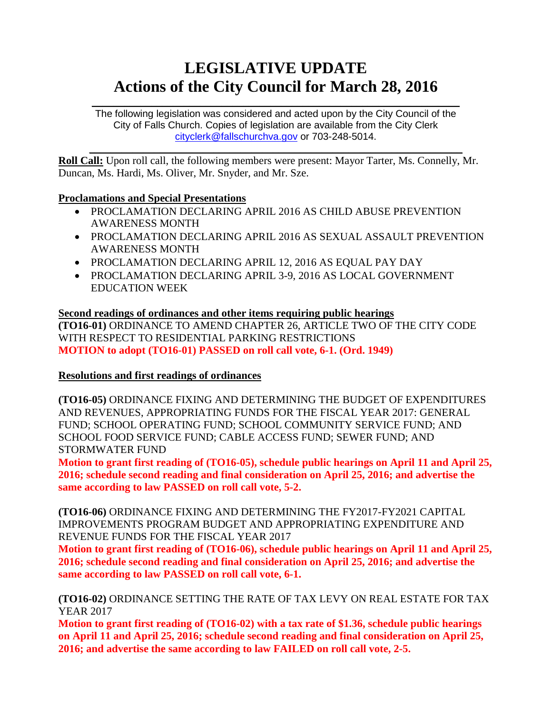# **LEGISLATIVE UPDATE Actions of the City Council for March 28, 2016**

 $\mathcal{L}_\text{max}$  and  $\mathcal{L}_\text{max}$  and  $\mathcal{L}_\text{max}$  and  $\mathcal{L}_\text{max}$  and  $\mathcal{L}_\text{max}$  and  $\mathcal{L}_\text{max}$ The following legislation was considered and acted upon by the City Council of the City of Falls Church. Copies of legislation are available from the City Clerk [cityclerk@fallschurchva.gov](mailto:cityclerk@fallschurchva.gov) or 703-248-5014.

 $\mathcal{L}_\text{max}$  and  $\mathcal{L}_\text{max}$  and  $\mathcal{L}_\text{max}$  and  $\mathcal{L}_\text{max}$  and  $\mathcal{L}_\text{max}$  and  $\mathcal{L}_\text{max}$ **Roll Call:** Upon roll call, the following members were present: Mayor Tarter, Ms. Connelly, Mr. Duncan, Ms. Hardi, Ms. Oliver, Mr. Snyder, and Mr. Sze.

## **Proclamations and Special Presentations**

- PROCLAMATION DECLARING APRIL 2016 AS CHILD ABUSE PREVENTION AWARENESS MONTH
- PROCLAMATION DECLARING APRIL 2016 AS SEXUAL ASSAULT PREVENTION AWARENESS MONTH
- PROCLAMATION DECLARING APRIL 12, 2016 AS EQUAL PAY DAY
- PROCLAMATION DECLARING APRIL 3-9, 2016 AS LOCAL GOVERNMENT EDUCATION WEEK

# **Second readings of ordinances and other items requiring public hearings (TO16-01)** ORDINANCE TO AMEND CHAPTER 26, ARTICLE TWO OF THE CITY CODE WITH RESPECT TO RESIDENTIAL PARKING RESTRICTIONS **MOTION to adopt (TO16-01) PASSED on roll call vote, 6-1. (Ord. 1949)**

## **Resolutions and first readings of ordinances**

**(TO16-05)** ORDINANCE FIXING AND DETERMINING THE BUDGET OF EXPENDITURES AND REVENUES, APPROPRIATING FUNDS FOR THE FISCAL YEAR 2017: GENERAL FUND; SCHOOL OPERATING FUND; SCHOOL COMMUNITY SERVICE FUND; AND SCHOOL FOOD SERVICE FUND; CABLE ACCESS FUND; SEWER FUND; AND STORMWATER FUND

**Motion to grant first reading of (TO16-05), schedule public hearings on April 11 and April 25, 2016; schedule second reading and final consideration on April 25, 2016; and advertise the same according to law PASSED on roll call vote, 5-2.**

**(TO16-06)** ORDINANCE FIXING AND DETERMINING THE FY2017-FY2021 CAPITAL IMPROVEMENTS PROGRAM BUDGET AND APPROPRIATING EXPENDITURE AND REVENUE FUNDS FOR THE FISCAL YEAR 2017

**Motion to grant first reading of (TO16-06), schedule public hearings on April 11 and April 25, 2016; schedule second reading and final consideration on April 25, 2016; and advertise the same according to law PASSED on roll call vote, 6-1.**

## **(TO16-02)** ORDINANCE SETTING THE RATE OF TAX LEVY ON REAL ESTATE FOR TAX YEAR 2017

**Motion to grant first reading of (TO16-02) with a tax rate of \$1.36, schedule public hearings on April 11 and April 25, 2016; schedule second reading and final consideration on April 25, 2016; and advertise the same according to law FAILED on roll call vote, 2-5.**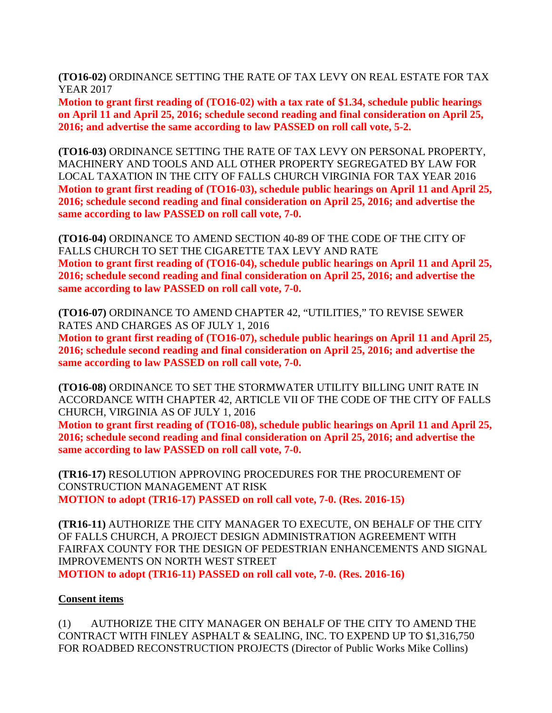**(TO16-02)** ORDINANCE SETTING THE RATE OF TAX LEVY ON REAL ESTATE FOR TAX YEAR 2017

**Motion to grant first reading of (TO16-02) with a tax rate of \$1.34, schedule public hearings on April 11 and April 25, 2016; schedule second reading and final consideration on April 25, 2016; and advertise the same according to law PASSED on roll call vote, 5-2.**

**(TO16-03)** ORDINANCE SETTING THE RATE OF TAX LEVY ON PERSONAL PROPERTY, MACHINERY AND TOOLS AND ALL OTHER PROPERTY SEGREGATED BY LAW FOR LOCAL TAXATION IN THE CITY OF FALLS CHURCH VIRGINIA FOR TAX YEAR 2016 **Motion to grant first reading of (TO16-03), schedule public hearings on April 11 and April 25, 2016; schedule second reading and final consideration on April 25, 2016; and advertise the same according to law PASSED on roll call vote, 7-0.**

**(TO16-04)** ORDINANCE TO AMEND SECTION 40-89 OF THE CODE OF THE CITY OF FALLS CHURCH TO SET THE CIGARETTE TAX LEVY AND RATE **Motion to grant first reading of (TO16-04), schedule public hearings on April 11 and April 25, 2016; schedule second reading and final consideration on April 25, 2016; and advertise the same according to law PASSED on roll call vote, 7-0.**

**(TO16-07)** ORDINANCE TO AMEND CHAPTER 42, "UTILITIES," TO REVISE SEWER RATES AND CHARGES AS OF JULY 1, 2016

**Motion to grant first reading of (TO16-07), schedule public hearings on April 11 and April 25, 2016; schedule second reading and final consideration on April 25, 2016; and advertise the same according to law PASSED on roll call vote, 7-0.**

**(TO16-08)** ORDINANCE TO SET THE STORMWATER UTILITY BILLING UNIT RATE IN ACCORDANCE WITH CHAPTER 42, ARTICLE VII OF THE CODE OF THE CITY OF FALLS CHURCH, VIRGINIA AS OF JULY 1, 2016

**Motion to grant first reading of (TO16-08), schedule public hearings on April 11 and April 25, 2016; schedule second reading and final consideration on April 25, 2016; and advertise the same according to law PASSED on roll call vote, 7-0.**

**(TR16-17)** RESOLUTION APPROVING PROCEDURES FOR THE PROCUREMENT OF CONSTRUCTION MANAGEMENT AT RISK **MOTION to adopt (TR16-17) PASSED on roll call vote, 7-0. (Res. 2016-15)**

**(TR16-11)** AUTHORIZE THE CITY MANAGER TO EXECUTE, ON BEHALF OF THE CITY OF FALLS CHURCH, A PROJECT DESIGN ADMINISTRATION AGREEMENT WITH FAIRFAX COUNTY FOR THE DESIGN OF PEDESTRIAN ENHANCEMENTS AND SIGNAL IMPROVEMENTS ON NORTH WEST STREET

**MOTION to adopt (TR16-11) PASSED on roll call vote, 7-0. (Res. 2016-16)**

## **Consent items**

(1) AUTHORIZE THE CITY MANAGER ON BEHALF OF THE CITY TO AMEND THE CONTRACT WITH FINLEY ASPHALT & SEALING, INC. TO EXPEND UP TO \$1,316,750 FOR ROADBED RECONSTRUCTION PROJECTS (Director of Public Works Mike Collins)